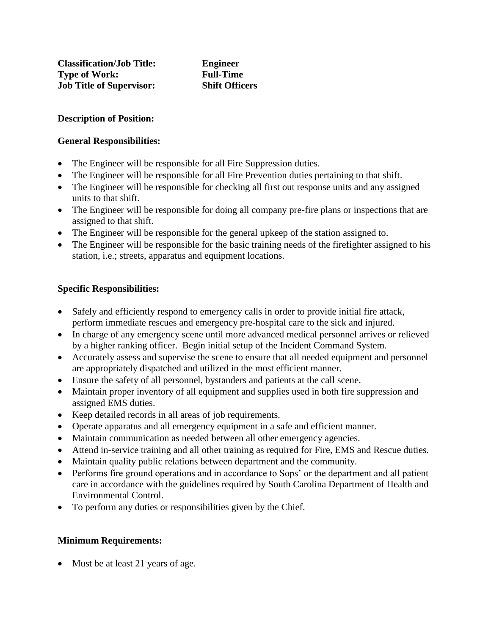### **Description of Position:**

#### **General Responsibilities:**

- The Engineer will be responsible for all Fire Suppression duties.
- The Engineer will be responsible for all Fire Prevention duties pertaining to that shift.
- The Engineer will be responsible for checking all first out response units and any assigned units to that shift.
- The Engineer will be responsible for doing all company pre-fire plans or inspections that are assigned to that shift.
- The Engineer will be responsible for the general upkeep of the station assigned to.
- The Engineer will be responsible for the basic training needs of the firefighter assigned to his station, i.e.; streets, apparatus and equipment locations.

# **Specific Responsibilities:**

- Safely and efficiently respond to emergency calls in order to provide initial fire attack, perform immediate rescues and emergency pre-hospital care to the sick and injured.
- In charge of any emergency scene until more advanced medical personnel arrives or relieved by a higher ranking officer. Begin initial setup of the Incident Command System.
- Accurately assess and supervise the scene to ensure that all needed equipment and personnel are appropriately dispatched and utilized in the most efficient manner.
- Ensure the safety of all personnel, bystanders and patients at the call scene.
- Maintain proper inventory of all equipment and supplies used in both fire suppression and assigned EMS duties.
- Keep detailed records in all areas of job requirements.
- Operate apparatus and all emergency equipment in a safe and efficient manner.
- Maintain communication as needed between all other emergency agencies.
- Attend in-service training and all other training as required for Fire, EMS and Rescue duties.
- Maintain quality public relations between department and the community.
- Performs fire ground operations and in accordance to Sops' or the department and all patient care in accordance with the guidelines required by South Carolina Department of Health and Environmental Control.
- To perform any duties or responsibilities given by the Chief.

### **Minimum Requirements:**

• Must be at least 21 years of age.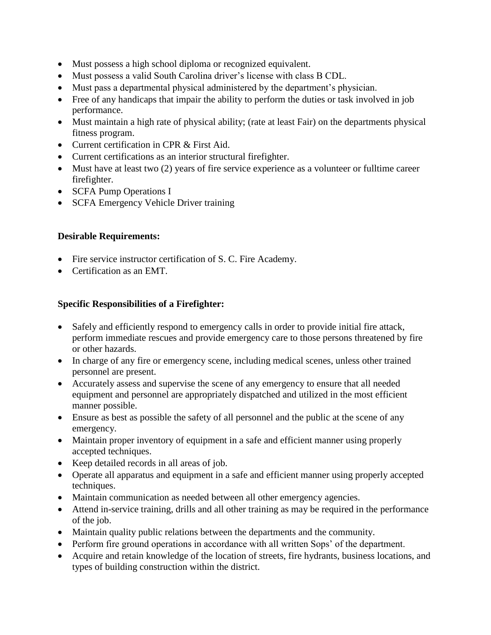- Must possess a high school diploma or recognized equivalent.
- Must possess a valid South Carolina driver's license with class B CDL.
- Must pass a departmental physical administered by the department's physician.
- Free of any handicaps that impair the ability to perform the duties or task involved in job performance.
- Must maintain a high rate of physical ability; (rate at least Fair) on the departments physical fitness program.
- Current certification in CPR & First Aid.
- Current certifications as an interior structural firefighter.
- Must have at least two (2) years of fire service experience as a volunteer or fulltime career firefighter.
- SCFA Pump Operations I
- SCFA Emergency Vehicle Driver training

# **Desirable Requirements:**

- Fire service instructor certification of S. C. Fire Academy.
- Certification as an EMT.

# **Specific Responsibilities of a Firefighter:**

- Safely and efficiently respond to emergency calls in order to provide initial fire attack, perform immediate rescues and provide emergency care to those persons threatened by fire or other hazards.
- In charge of any fire or emergency scene, including medical scenes, unless other trained personnel are present.
- Accurately assess and supervise the scene of any emergency to ensure that all needed equipment and personnel are appropriately dispatched and utilized in the most efficient manner possible.
- Ensure as best as possible the safety of all personnel and the public at the scene of any emergency.
- Maintain proper inventory of equipment in a safe and efficient manner using properly accepted techniques.
- Keep detailed records in all areas of job.
- Operate all apparatus and equipment in a safe and efficient manner using properly accepted techniques.
- Maintain communication as needed between all other emergency agencies.
- Attend in-service training, drills and all other training as may be required in the performance of the job.
- Maintain quality public relations between the departments and the community.
- Perform fire ground operations in accordance with all written Sops' of the department.
- Acquire and retain knowledge of the location of streets, fire hydrants, business locations, and types of building construction within the district.